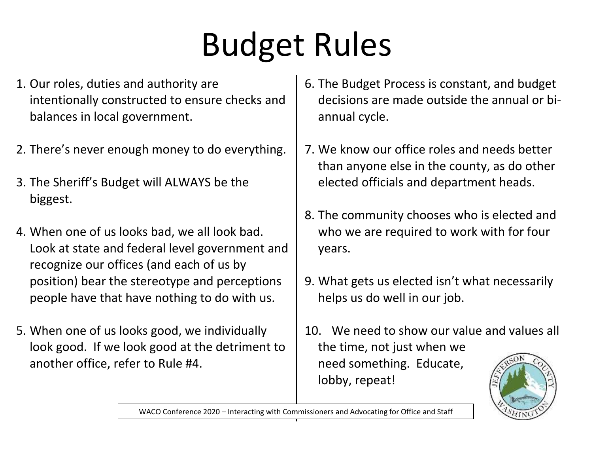# Budget Rules

- 1. Our roles, duties and authority are intentionally constructed to ensure checks and balances in local government.
- 2. There's never enough money to do everything.
- 3. The Sheriff's Budget will ALWAYS be the biggest.
- 4. When one of us looks bad, we all look bad. Look at state and federal level government and recognize our offices (and each of us by position) bear the stereotype and perceptions people have that have nothing to do with us.
- 5. When one of us looks good, we individually look good. If we look good at the detriment to another office, refer to Rule #4.
- 6. The Budget Process is constant, and budget decisions are made outside the annual or biannual cycle.
- 7. We know our office roles and needs better than anyone else in the county, as do other elected officials and department heads.
- 8. The community chooses who is elected and who we are required to work with for four years.
- 9. What gets us elected isn't what necessarily helps us do well in our job.
- 10. We need to show our value and values all the time, not just when we need something. Educate, lobby, repeat!



WACO Conference 2020 – Interacting with Commissioners and Advocating for Office and Staff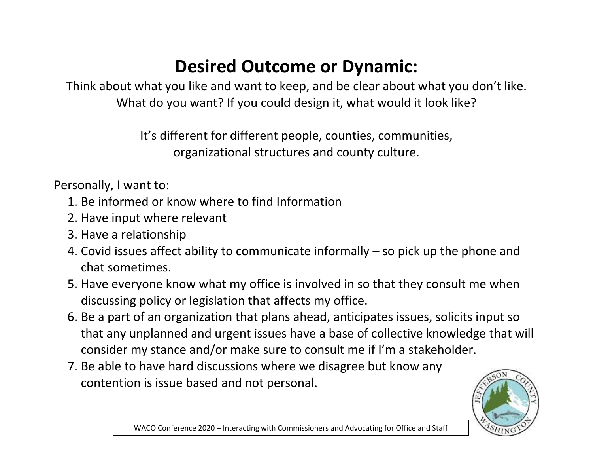### **Desired Outcome or Dynamic:**

Think about what you like and want to keep, and be clear about what you don't like. What do you want? If you could design it, what would it look like?

> It's different for different people, counties, communities, organizational structures and county culture.

Personally, I want to:

- 1. Be informed or know where to find Information
- 2. Have input where relevant
- 3. Have a relationship
- 4. Covid issues affect ability to communicate informally so pick up the phone and chat sometimes.
- 5. Have everyone know what my office is involved in so that they consult me when discussing policy or legislation that affects my office.
- 6. Be a part of an organization that plans ahead, anticipates issues, solicits input so that any unplanned and urgent issues have a base of collective knowledge that will consider my stance and/or make sure to consult me if I'm a stakeholder.
- 7. Be able to have hard discussions where we disagree but know any contention is issue based and not personal.

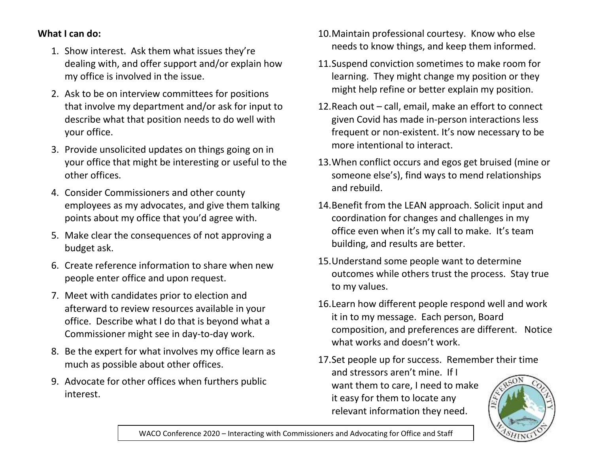#### **What I can do:**

- 1. Show interest. Ask them what issues they're dealing with, and offer support and/or explain how my office is involved in the issue.
- 2. Ask to be on interview committees for positions that involve my department and/or ask for input to describe what that position needs to do well with your office.
- 3. Provide unsolicited updates on things going on in your office that might be interesting or useful to the other offices.
- 4. Consider Commissioners and other county employees as my advocates, and give them talking points about my office that you'd agree with.
- 5. Make clear the consequences of not approving a budget ask.
- 6. Create reference information to share when new people enter office and upon request.
- 7. Meet with candidates prior to election and afterward to review resources available in your office. Describe what I do that is beyond what a Commissioner might see in day-to-day work.
- 8. Be the expert for what involves my office learn as much as possible about other offices.
- 9. Advocate for other offices when furthers public interest.
- 10.Maintain professional courtesy. Know who else needs to know things, and keep them informed.
- 11.Suspend conviction sometimes to make room for learning. They might change my position or they might help refine or better explain my position.
- 12.Reach out call, email, make an effort to connect given Covid has made in-person interactions less frequent or non-existent. It's now necessary to be more intentional to interact.
- 13.When conflict occurs and egos get bruised (mine or someone else's), find ways to mend relationships and rebuild.
- 14.Benefit from the LEAN approach. Solicit input and coordination for changes and challenges in my office even when it's my call to make. It's team building, and results are better.
- 15.Understand some people want to determine outcomes while others trust the process. Stay true to my values.
- 16.Learn how different people respond well and work it in to my message. Each person, Board composition, and preferences are different. Notice what works and doesn't work.
- 17.Set people up for success. Remember their time and stressors aren't mine. If I want them to care, I need to make it easy for them to locate any relevant information they need.

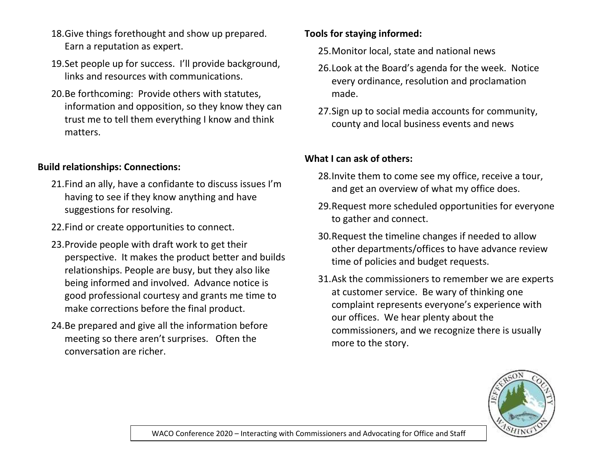- 18.Give things forethought and show up prepared. Earn a reputation as expert.
- 19.Set people up for success. I'll provide background, links and resources with communications.
- 20.Be forthcoming: Provide others with statutes, information and opposition, so they know they can trust me to tell them everything I know and think matters.

#### **Build relationships: Connections:**

- 21.Find an ally, have a confidante to discuss issues I'm having to see if they know anything and have suggestions for resolving.
- 22.Find or create opportunities to connect.
- 23.Provide people with draft work to get their perspective. It makes the product better and builds relationships. People are busy, but they also like being informed and involved. Advance notice is good professional courtesy and grants me time to make corrections before the final product.
- 24.Be prepared and give all the information before meeting so there aren't surprises. Often the conversation are richer.

#### **Tools for staying informed:**

- 25.Monitor local, state and national news
- 26.Look at the Board's agenda for the week. Notice every ordinance, resolution and proclamation made.
- 27.Sign up to social media accounts for community, county and local business events and news

#### **What I can ask of others:**

- 28.Invite them to come see my office, receive a tour, and get an overview of what my office does.
- 29.Request more scheduled opportunities for everyone to gather and connect.
- 30.Request the timeline changes if needed to allow other departments/offices to have advance review time of policies and budget requests.
- 31.Ask the commissioners to remember we are experts at customer service. Be wary of thinking one complaint represents everyone's experience with our offices. We hear plenty about the commissioners, and we recognize there is usually more to the story.

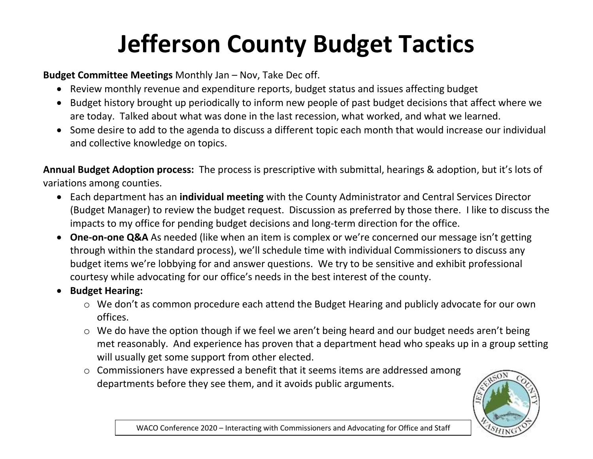## **Jefferson County Budget Tactics**

**Budget Committee Meetings** Monthly Jan – Nov, Take Dec off.

- Review monthly revenue and expenditure reports, budget status and issues affecting budget
- Budget history brought up periodically to inform new people of past budget decisions that affect where we are today. Talked about what was done in the last recession, what worked, and what we learned.
- Some desire to add to the agenda to discuss a different topic each month that would increase our individual and collective knowledge on topics.

**Annual Budget Adoption process:** The process is prescriptive with submittal, hearings & adoption, but it's lots of variations among counties.

- Each department has an **individual meeting** with the County Administrator and Central Services Director (Budget Manager) to review the budget request. Discussion as preferred by those there. I like to discuss the impacts to my office for pending budget decisions and long-term direction for the office.
- **One-on-one Q&A** As needed (like when an item is complex or we're concerned our message isn't getting through within the standard process), we'll schedule time with individual Commissioners to discuss any budget items we're lobbying for and answer questions. We try to be sensitive and exhibit professional courtesy while advocating for our office's needs in the best interest of the county.
- **•** Budget Hearing:
	- o We don't as common procedure each attend the Budget Hearing and publicly advocate for our own offices.
	- o We do have the option though if we feel we aren't being heard and our budget needs aren't being met reasonably. And experience has proven that a department head who speaks up in a group setting will usually get some support from other elected.
	- o Commissioners have expressed a benefit that it seems items are addressed among departments before they see them, and it avoids public arguments.



WACO Conference 2020 – Interacting with Commissioners and Advocating for Office and Staff